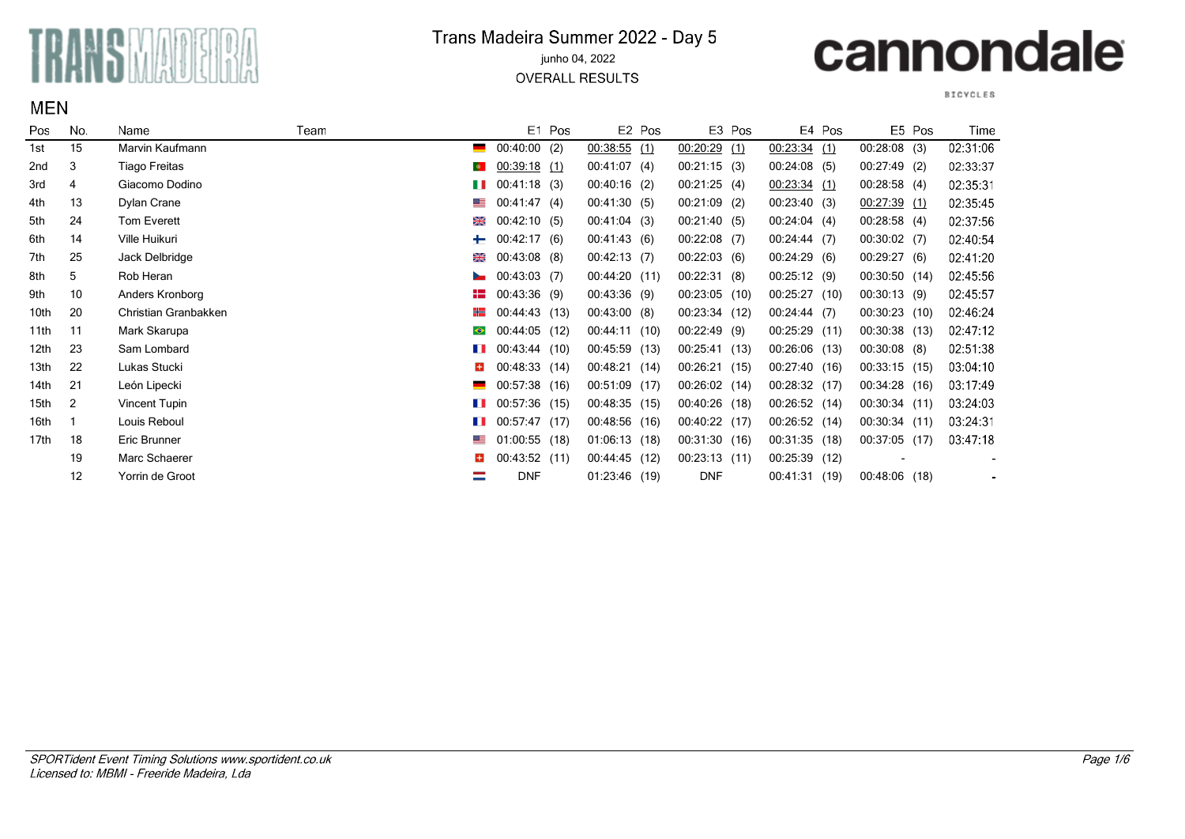

**MEN** 

### Trans Madeira Summer 2022 - Day 5

#### junho 04, 2022

**OVERALL RESULTS** 

# cannondale

**BICYCLES** 

| Pos              | No.            | Name                 | Team |                           |                 | E1 Pos |                | E <sub>2</sub> Pos |                 | E3 Pos |                | E4 Pos |                 | E5 Pos | Time     |
|------------------|----------------|----------------------|------|---------------------------|-----------------|--------|----------------|--------------------|-----------------|--------|----------------|--------|-----------------|--------|----------|
| 1st              | 15             | Marvin Kaufmann      |      | $\blacksquare$            | 00:40:00(2)     |        | $00:38:55$ (1) |                    | $00:20:29$ (1)  |        | $00:23:34$ (1) |        | 00:28:08(3)     |        | 02:31:06 |
| 2nd              | 3              | Tiago Freitas        |      | $\langle \bullet \rangle$ | $00:39:18$ (1)  |        | 00:41:07(4)    |                    | 00:21:15(3)     |        | 00:24:08(5)    |        | $00:27:49$ (2)  |        | 02:33:37 |
| 3rd              | 4              | Giacomo Dodino       |      | T T                       | 00:41:18(3)     |        | $00:40:16$ (2) |                    | 00:21:25(4)     |        | 00:23:34(1)    |        | 00:28:58(4)     |        | 02:35:31 |
| 4th              | 13             | Dylan Crane          |      | ▓≡                        | 00:41:47(4)     |        | 00.41:30(5)    |                    | $00:21:09$ (2)  |        | 00:23:40(3)    |        | 00.27:39(1)     |        | 02:35:45 |
| 5th              | 24             | Tom Everett          |      | ⋇                         | 00:42:10(5)     |        | 00:41:04(3)    |                    | 00:21:40(5)     |        | 00:24:04(4)    |        | 00:28:58(4)     |        | 02:37:56 |
| 6th              | 14             | Ville Huikuri        |      | ┶                         | 00:42:17(6)     |        | 00.41:43(6)    |                    | $00:22:08$ (7)  |        | 00:24:44(7)    |        | 00:30:02(7)     |        | 02:40:54 |
| 7th              | 25             | Jack Delbridge       |      | ⋇                         | $00:43:08$ (8)  |        | 00:42:13(7)    |                    | 00:22:03(6)     |        | 00:24:29(6)    |        | 00:29:27(6)     |        | 02:41:20 |
| 8th              | 5              | Rob Heran            |      | $\overline{\phantom{a}}$  | 00:43:03(7)     |        | 00:44:20 (11)  |                    | 00:22:31(8)     |        | 00:25:12(9)    |        | 00:30:50 (14)   |        | 02:45:56 |
| 9th              | 10             | Anders Kronborg      |      | 52.                       | 00:43:36(9)     |        | 00:43:36(9)    |                    | $00:23:05$ (10) |        | 00:25:27(10)   |        | 00:30:13(9)     |        | 02:45:57 |
| 10th             | 20             | Christian Granbakken |      | ╉═                        | 00:44:43 (13)   |        | 00:43:00(8)    |                    | 00:23:34 (12)   |        | 00:24:44(7)    |        | $00:30:23$ (10) |        | 02:46:24 |
| 11th             | 11             | Mark Skarupa         |      | $\bullet$                 | $00:44:05$ (12) |        | 00:44:11 (10)  |                    | 00:22:49(9)     |        | 00:25:29 (11)  |        | 00:30:38 (13)   |        | 02:47:12 |
| 12th             | 23             | Sam Lombard          |      | <b>The Co</b>             | 00:43:44(10)    |        | 00:45:59 (13)  |                    | 00:25:41        | (13)   | 00:26:06 (13)  |        | $00:30:08$ (8)  |        | 02:51:38 |
| 13th             | 22             | Lukas Stucki         |      | н                         | 00:48:33 (14)   |        | 00:48:21       | (14)               | 00:26:21        | (15)   | 00:27:40 (16)  |        | 00:33:15(15)    |        | 03:04:10 |
| 14th             | 21             | León Lipecki         |      |                           | 00:57:38        | (16)   | 00:51:09       | (17)               | $00:26:02$ (14) |        | 00:28:32 (17)  |        | 00:34:28 (16)   |        | 03.17:49 |
| 15th             | $\overline{2}$ | Vincent Tupin        |      | n a s                     | 00:57:36 (15)   |        | 00:48:35 (15)  |                    | 00:40:26(18)    |        | 00:26:52 (14)  |        | 00:30:34 (11)   |        | 03:24:03 |
| 16th             |                | Louis Reboul         |      | a sa B                    | 00.57.47(17)    |        | 00:48:56 (16)  |                    | 00:40:22 (17)   |        | 00:26:52 (14)  |        | 00:30:34 (11)   |        | 03:24:31 |
| 17 <sub>th</sub> | 18             | Eric Brunner         |      | ▀▀                        | $01:00:55$ (18) |        | 01:06:13(18)   |                    | 00:31:30(16)    |        | 00:31:35 (18)  |        | 00:37:05 (17)   |        | 03:47:18 |
|                  | 19             | Marc Schaerer        |      | н                         | 00:43:52(11)    |        | 00:44:45(12)   |                    | $00:23:13$ (11) |        | 00:25:39 (12)  |        |                 |        |          |
|                  | 12             | Yorrin de Groot      |      |                           | <b>DNF</b>      |        | 01:23:46 (19)  |                    | <b>DNF</b>      |        | 00:41:31(19)   |        | 00:48:06 (18)   |        |          |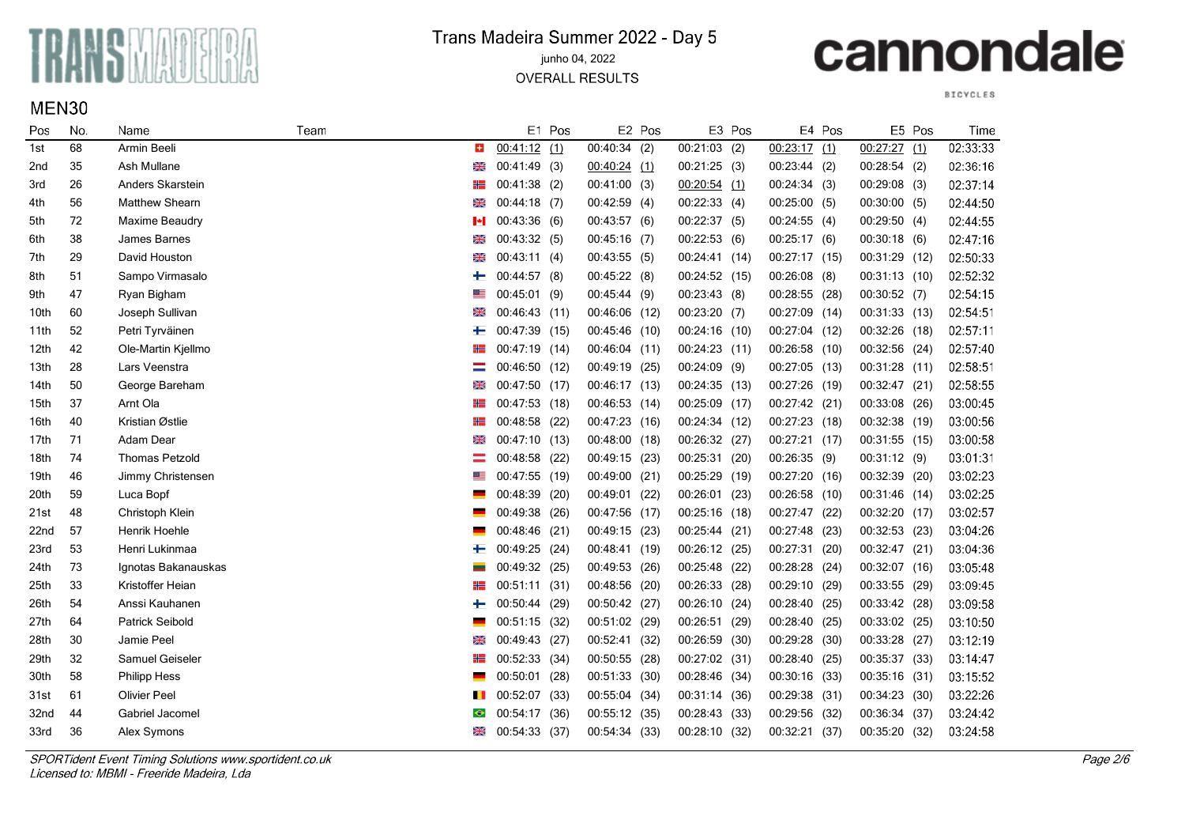

MEN30

#### Trans Madeira Summer 2022 - Day 5 junho 04, 2022

**OVERALL RESULTS** 

# cannondale

**BICYCLES** 

| Pos  | No. | Name                   | Team |            |                | E1 Pos |               | E2 Pos |                 | E3 Pos |                | E4 Pos |                | E5 Pos | Time     |
|------|-----|------------------------|------|------------|----------------|--------|---------------|--------|-----------------|--------|----------------|--------|----------------|--------|----------|
| 1st  | 68  | Armin Beeli            |      | ÷          | 00:41:12(1)    |        | 00:40:34(2)   |        | $00:21:03$ (2)  |        | $00:23:17$ (1) |        | $00:27:27$ (1) |        | 02:33:33 |
| 2nd  | 35  | Ash Mullane            |      | ₩          | 00:41:49(3)    |        | 00:40:24(1)   |        | 00:21:25(3)     |        | 00:23:44(2)    |        | 00:28:54(2)    |        | 02:36:16 |
| 3rd  | 26  | Anders Skarstein       |      | ₩          | 00:41:38 (2)   |        | 00:41:00(3)   |        | 00:20:54(1)     |        | 00:24:34(3)    |        | 00:29:08(3)    |        | 02:37:14 |
| 4th  | 56  | <b>Matthew Shearn</b>  |      | ₩          | $00:44:18$ (7) |        | 00:42:59(4)   |        | 00:22:33(4)     |        | 00:25:00(5)    |        | $00:30:00$ (5) |        | 02:44:50 |
| 5th  | 72  | Maxime Beaudry         |      | м          | 00:43:36(6)    |        | 00:43:57(6)   |        | 00:22:37(5)     |        | 00:24:55(4)    |        | 00:29:50(4)    |        | 02:44:55 |
| 6th  | 38  | James Barnes           |      | ⋇          | 00:43:32(5)    |        | 00:45:16(7)   |        | 00:22:53(6)     |        | 00:25:17(6)    |        | 00:30:18(6)    |        | 02:47:16 |
| 7th  | 29  | David Houston          |      | ⋇          | 00:43:11(4)    |        | 00:43:55(5)   |        | 00:24:41(14)    |        | 00:27:17 (15)  |        | 00:31:29 (12)  |        | 02:50:33 |
| 8th  | 51  | Sampo Virmasalo        |      | ┿          | 00:44:57 (8)   |        | 00:45:22(8)   |        | 00:24:52 (15)   |        | $00:26:08$ (8) |        | 00:31:13(10)   |        | 02:52:32 |
| 9th  | 47  | Ryan Bigham            |      |            | 00:45:01 (9)   |        | 00:45:44 (9)  |        | 00:23:43(8)     |        | 00:28:55 (28)  |        | 00:30:52(7)    |        | 02:54:15 |
| 10th | 60  | Joseph Sullivan        |      | ⋇          | 00:46:43 (11)  |        | 00:46:06 (12) |        | $00:23:20$ (7)  |        | 00:27:09 (14)  |        | 00:31:33 (13)  |        | 02.54.51 |
| 11th | 52  | Petri Tyrväinen        |      |            | 00:47:39       | (15)   | 00:45:46 (10) |        | $00:24:16$ (10) |        | 00:27:04 (12)  |        | 00:32:26 (18)  |        | 02:57:11 |
| 12th | 42  | Ole-Martin Kjellmo     |      | ₩          | 00:47:19       | (14)   | 00:46:04 (11) |        | $00:24:23$ (11) |        | 00:26:58 (10)  |        | 00:32:56       | (24)   | 02:57:40 |
| 13th | 28  | Lars Veenstra          |      |            | 00:46:50       | (12)   | 00:49:19 (25) |        | 00:24:09        | (9)    | 00:27:05 (13)  |        | 00:31:28       | (11)   | 02:58:51 |
| 14th | 50  | George Bareham         |      | 6          | 00:47:50       | (17)   | 00:46:17 (13) |        | 00:24:35        | (13)   | 00:27:26 (19)  |        | 00:32:47       | (21)   | 02:58:55 |
| 15th | 37  | Arnt Ola               |      | ۲۲         | 00:47:53 (18)  |        | 00:46:53 (14) |        | 00:25:09        | (17)   | 00:27:42 (21)  |        | 00:33:08       | (26)   | 03:00:45 |
| 16th | 40  | Kristian Østlie        |      |            | 00:48:58       | (22)   | 00:47:23 (16) |        | 00:24:34 (12)   |        | 00:27:23 (18)  |        | 00:32:38       | (19)   | 03:00:56 |
| 17th | 71  | Adam Dear              |      | ₩          | 00:47:10       | (13)   | 00:48:00 (18) |        | 00:26:32        | (27)   | 00:27:21 (17)  |        | 00:31:55 (15)  |        | 03:00:58 |
| 18th | 74  | <b>Thomas Petzold</b>  |      |            | 00:48:58       | (22)   | 00:49:15 (23) |        | 00:25:31        | (20)   | 00:26:35 (9)   |        | 00:31:12 (9)   |        | 03:01:31 |
| 19th | 46  | Jimmy Christensen      |      |            | 00:47:55       | (19)   | 00:49:00 (21) |        | 00:25:29        | (19)   | 00:27:20 (16)  |        | 00:32:39       | (20)   | 03:02:23 |
| 20th | 59  | Luca Bopf              |      |            | 00:48:39       | (20)   | 00:49:01 (22) |        | 00:26:01        | (23)   | 00:26:58 (10)  |        | 00:31:46 (14)  |        | 03:02:25 |
| 21st | 48  | Christoph Klein        |      |            | 00:49:38       | (26)   | 00:47:56 (17) |        | 00:25:16        | (18)   | 00:27:47 (22)  |        | 00:32:20       | (17)   | 03:02:57 |
| 22nd | 57  | Henrik Hoehle          |      |            | 00:48:46       | (21)   | 00:49:15 (23) |        | 00:25:44        | (21)   | 00:27:48 (23)  |        | 00:32:53       | (23)   | 03:04:26 |
| 23rd | 53  | Henri Lukinmaa         |      | ←          | 00:49:25       | (24)   | 00:48:41 (19) |        | 00:26:12 (25)   |        | 00:27:31 (20)  |        | 00:32:47       | (21)   | 03:04:36 |
| 24th | 73  | Ignotas Bakanauskas    |      |            | 00:49:32 (25)  |        | 00:49:53 (26) |        | 00:25:48        | (22)   | 00:28:28 (24)  |        | 00:32:07       | (16)   | 03:05:48 |
| 25th | 33  | Kristoffer Heian       |      | ₩          | 00:51:11 (31)  |        | 00:48:56 (20) |        | 00:26:33 (28)   |        | 00:29:10(29)   |        | 00:33:55 (29)  |        | 03:09:45 |
| 26th | 54  | Anssi Kauhanen         |      | ←          | 00:50:44 (29)  |        | 00:50:42 (27) |        | 00:26:10        | (24)   | 00:28:40 (25)  |        | 00:33:42 (28)  |        | 03:09:58 |
| 27th | 64  | <b>Patrick Seibold</b> |      |            | 00:51:15 (32)  |        | 00:51:02 (29) |        | 00:26:51        | (29)   | 00:28:40 (25)  |        | 00:33:02 (25)  |        | 03:10:50 |
| 28th | 30  | Jamie Peel             |      | ⋇          | 00:49:43       | (27)   | 00:52:41 (32) |        | 00:26:59        | (30)   | 00:29:28 (30)  |        | 00:33:28 (27)  |        | 03:12:19 |
| 29th | 32  | Samuel Geiseler        |      |            | 00:52:33       | (34)   | 00:50:55 (28) |        | 00:27:02        | (31)   | 00:28:40 (25)  |        | 00:35:37 (33)  |        | 03:14:47 |
| 30th | 58  | <b>Philipp Hess</b>    |      |            | 00:50:01       | (28)   | 00:51:33 (30) |        | 00:28:46        | (34)   | 00:30:16 (33)  |        | 00:35:16 (31)  |        | 03:15:52 |
| 31st | 61  | <b>Olivier Peel</b>    |      | <b>THE</b> | 00:52:07       | (33)   | 00:55:04 (34) |        | 00:31:14        | (36)   | 00:29:38 (31)  |        | 00:34:23       | (30)   | 03:22:26 |
| 32nd | 44  | Gabriel Jacomel        |      | $\bullet$  | 00:54:17       | (36)   | 00:55:12 (35) |        | 00:28:43        | (33)   | 00:29:56 (32)  |        | 00:36:34 (37)  |        | 03:24:42 |
| 33rd | 36  | Alex Symons            |      | 6          | 00:54:33       | (37)   | 00:54:34 (33) |        | 00:28:10        | (32)   | 00:32:21       | (37)   | 00:35:20       | (32)   | 03:24:58 |

SPORTident Event Timing Solutions www.sportident.co.uk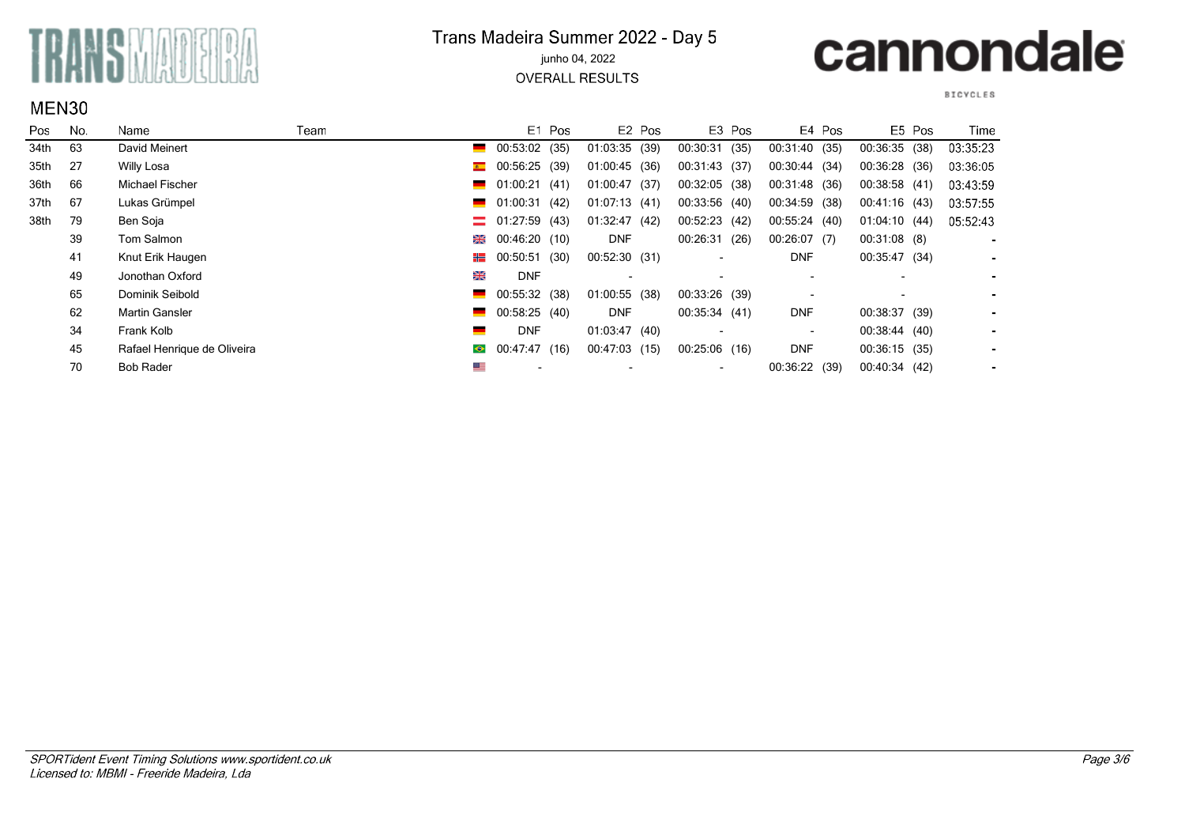

#### Trans Madeira Summer 2022 - Day 5 junho 04, 2022

**OVERALL RESULTS** 

### cannondale

**BICYCLES** 

| ∍os  | No. | Name                        | Team                     |                                 | E1 Pos |                 | E <sub>2</sub> Pos | E3 Pos          |      |                          | E4 Pos |                 | E5 Pos | Time           |
|------|-----|-----------------------------|--------------------------|---------------------------------|--------|-----------------|--------------------|-----------------|------|--------------------------|--------|-----------------|--------|----------------|
| 34th | 63  | David Meinert               | _                        | 00:53:02 (35)                   |        | 01:03:35 (39)   |                    | 00:30:31        | (35) | 00:31:40 (35)            |        | 00:36:35 (38)   |        | 03:35:23       |
| 35th | 27  | Willy Losa                  |                          | $\bullet$ 00:56:25              | (39)   | $01:00:45$ (36) |                    | 00:31:43 (37)   |      | 00:30:44 (34)            |        | 00:36:28 (36)   |        | 03:36:05       |
| 36th | 66  | Michael Fischer             | <u>a sa basa</u>         | 01:00:21                        | (41)   | 01:00:47        | (37)               | 00:32:05 (38)   |      | 00:31:48 (36)            |        | 00:38:58 (41)   |        | 03:43:59       |
| 37th | 67  | Lukas Grümpel               |                          | $\blacksquare$ 01:00:31         | (42)   | 01:07:13(41)    |                    | 00:33:56(40)    |      | 00:34:59                 | (38)   | 00:41:16(43)    |        | 03:57:55       |
| 38th | 79  | Ben Soja                    |                          | $\equiv$ 01:27:59 (43)          |        | 01:32:47(42)    |                    | 00:52:23 (42)   |      | 00:55:24(40)             |        | 01:04:10(44)    |        | 05:52:43       |
|      | 39  | Tom Salmon                  |                          | $\frac{120}{200}$ 00:46:20 (10) |        | <b>DNF</b>      |                    | 00:26:31        | (26) | 00:26:07(7)              |        | $00:31:08$ (8)  |        |                |
|      | 41  | Knut Erik Haugen            |                          | $\frac{1}{2}$ 00:50:51          | (30)   | 00:52:30 (31)   |                    |                 |      | <b>DNF</b>               |        | 00:35:47 (34)   |        | $\sim$         |
|      | 49  | Jonothan Oxford             | 噐                        | <b>DNF</b>                      |        |                 |                    |                 |      |                          |        |                 |        | $\sim$         |
|      | 65  | Dominik Seibold             | _                        | 00:55:32 (38)                   |        | $01:00:55$ (38) |                    | 00:33:26 (39)   |      |                          |        |                 |        | $\sim$         |
|      | 62  | <b>Martin Gansler</b>       | $\overline{\phantom{a}}$ | 00:58:25 (40)                   |        | <b>DNF</b>      |                    | 00:35:34(41)    |      | <b>DNF</b>               |        | 00:38:37 (39)   |        | $\sim$         |
|      | 34  | Frank Kolb                  | $\equiv$                 | <b>DNF</b>                      |        | 01:03:47(40)    |                    |                 |      | $\overline{\phantom{a}}$ |        | 00:38:44 (40)   |        | $\blacksquare$ |
|      | 45  | Rafael Henrique de Oliveira | $\bullet$                | 00:47:47 (16)                   |        | 00:47:03 (15)   |                    | $00:25:06$ (16) |      | <b>DNF</b>               |        | $00:36:15$ (35) |        | $\blacksquare$ |
|      | 70  | <b>Bob Rader</b>            | ⋐≡                       |                                 |        |                 |                    |                 |      | 00:36:22 (39)            |        | 00:40:34 (42)   |        | $\sim$         |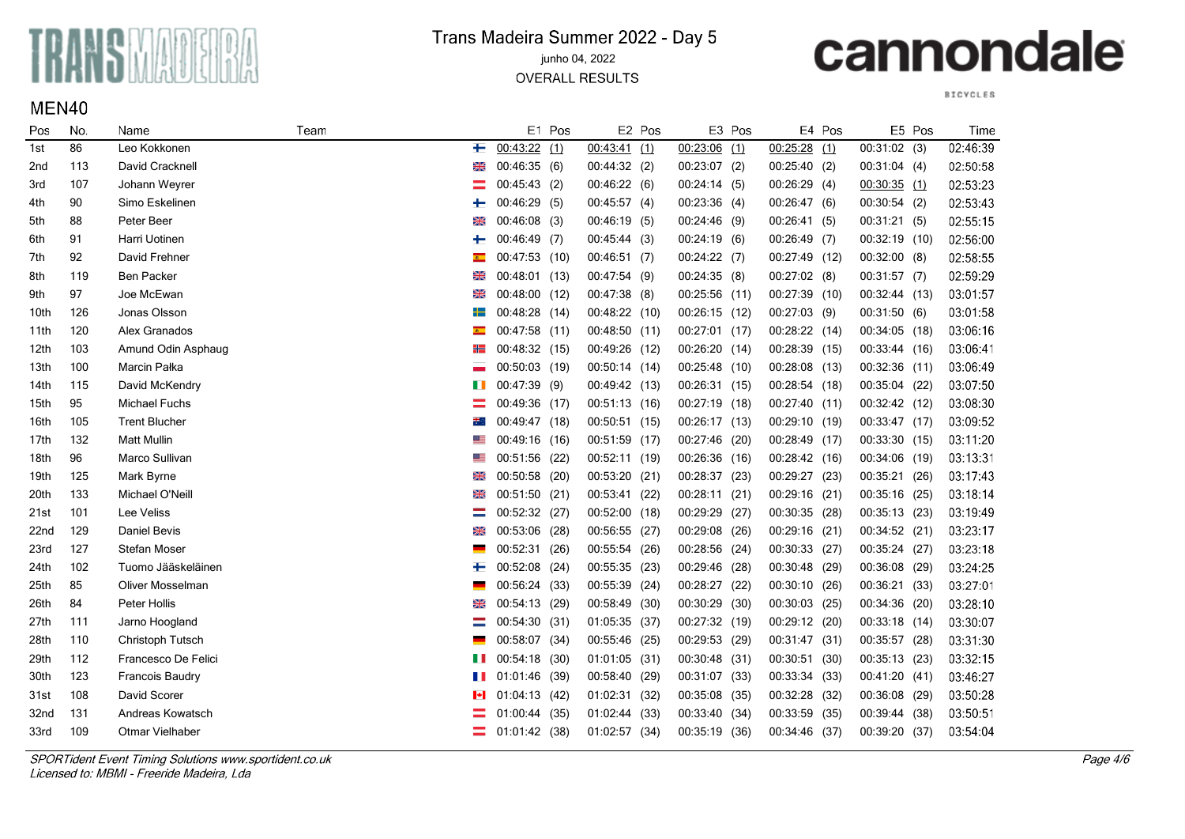

MEN40

### Trans Madeira Summer 2022 - Day 5

junho 04, 2022

**OVERALL RESULTS** 

# cannondale

**BICYCLES** 

| Pos              | No. | Name                 | Team      |                | E1 Pos |                 | E2 Pos |                 | E3 Pos |                 | E4 Pos |                | E5 Pos | Time     |
|------------------|-----|----------------------|-----------|----------------|--------|-----------------|--------|-----------------|--------|-----------------|--------|----------------|--------|----------|
| 1st              | 86  | Leo Kokkonen         | ┶         | 00:43:22(1)    |        | $00:43:41$ (1)  |        | $00:23:06$ (1)  |        | $00:25:28$ (1)  |        | $00:31:02$ (3) |        | 02:46:39 |
| 2 <sub>nd</sub>  | 113 | David Cracknell      | ⋇         | 00:46:35(6)    |        | 00:44:32(2)     |        | $00:23:07$ (2)  |        | 00:25:40(2)     |        | 00:31:04(4)    |        | 02:50:58 |
| 3rd              | 107 | Johann Weyrer        |           | 00:45:43(2)    |        | 00:46:22(6)     |        | 00:24:14(5)     |        | $00:26:29$ (4)  |        | $00:30:35$ (1) |        | 02:53:23 |
| 4th              | 90  | Simo Eskelinen       | ┿         | 00:46:29(5)    |        | 00:45:57(4)     |        | 00:23:36(4)     |        | 00:26:47(6)     |        | 00:30:54(2)    |        | 02:53:43 |
| 5th              | 88  | Peter Beer           | ⋇         | $00:46:08$ (3) |        | 00:46:19(5)     |        | $00:24:46$ (9)  |        | 00:26:41(5)     |        | 00:31:21(5)    |        | 02:55:15 |
| 6th              | 91  | Harri Uotinen        | ┿         | $00:46:49$ (7) |        | 00:45:44(3)     |        | 00:24:19(6)     |        | $00:26:49$ (7)  |        | 00:32:19 (10)  |        | 02:56:00 |
| 7th              | 92  | David Frehner        | $\bullet$ | 00:47:53 (10)  |        | 00:46:51(7)     |        | $00:24:22$ (7)  |        | 00:27:49 (12)   |        | $00:32:00$ (8) |        | 02:58:55 |
| 8th              | 119 | Ben Packer           | ⋇         | 00:48:01 (13)  |        | 00:47:54 (9)    |        | 00:24:35(8)     |        | $00:27:02$ (8)  |        | 00:31:57(7)    |        | 02:59:29 |
| 9th              | 97  | Joe McEwan           | ⋇         | 00:48:00 (12)  |        | 00:47:38(8)     |        | 00:25:56 (11)   |        | 00:27:39 (10)   |        | 00:32:44 (13)  |        | 03:01:57 |
| 10th             | 126 | Jonas Olsson         | ┿═        | 00:48:28 (14)  |        | 00:48:22 (10)   |        | 00:26:15 (12)   |        | $00:27:03$ (9)  |        | 00:31:50(6)    |        | 03:01:58 |
| 11th             | 120 | Alex Granados        |           | 00:47:58 (11)  |        | 00:48:50 (11)   |        | 00:27:01 (17)   |        | 00:28:22 (14)   |        | 00:34:05 (18)  |        | 03:06:16 |
| 12th             | 103 | Amund Odin Asphaug   |           | 00:48:32 (15)  |        | 00:49:26 (12)   |        | 00:26:20 (14)   |        | $00:28:39$ (15) |        | 00:33:44 (16)  |        | 03:06:41 |
| 13th             | 100 | Marcin Pałka         |           | 00:50:03 (19)  |        | 00:50:14(14)    |        | 00:25:48        | (10)   | 00:28:08 (13)   |        | 00:32:36 (11)  |        | 03:06:49 |
| 14th             | 115 | David McKendry       | Ш         | 00:47:39 (9)   |        | 00:49:42 (13)   |        | 00:26:31 (15)   |        | 00:28:54 (18)   |        | 00:35:04 (22)  |        | 03:07:50 |
| 15th             | 95  | <b>Michael Fuchs</b> |           | 00:49:36 (17)  |        | 00:51:13(16)    |        | 00:27:19        | (18)   | 00:27:40(11)    |        | 00:32:42 (12)  |        | 03:08:30 |
| 16th             | 105 | <b>Trent Blucher</b> | ₩.        | 00:49:47 (18)  |        | $00:50:51$ (15) |        | 00:26:17 (13)   |        | 00:29:10 (19)   |        | 00:33:47 (17)  |        | 03:09:52 |
| 17th             | 132 | <b>Matt Mullin</b>   | ≝         | 00:49:16 (16)  |        | 00:51:59 (17)   |        | 00:27:46        | (20)   | 00:28:49 (17)   |        | 00:33:30 (15)  |        | 03:11:20 |
| 18th             | 96  | Marco Sullivan       | ▀         | 00:51:56 (22)  |        | 00:52:11 (19)   |        | 00:26:36 (16)   |        | 00:28:42 (16)   |        | 00:34:06 (19)  |        | 03:13:31 |
| 19th             | 125 | Mark Byrne           | ⋇         | 00:50:58 (20)  |        | 00:53:20 (21)   |        | 00:28:37        | (23)   | 00:29:27 (23)   |        | 00:35:21 (26)  |        | 03:17:43 |
| 20th             | 133 | Michael O'Neill      | ⋇         | 00:51:50 (21)  |        | 00:53:41 (22)   |        | 00:28:11 (21)   |        | 00:29:16 (21)   |        | 00:35:16 (25)  |        | 03:18:14 |
| 21st             | 101 | Lee Veliss           |           | 00:52:32 (27)  |        | 00:52:00 (18)   |        | 00:29:29        | (27)   | $00:30:35$ (28) |        | 00:35:13 (23)  |        | 03:19:49 |
| 22 <sub>nd</sub> | 129 | Daniel Bevis         | ⋇         | 00:53:06       | (28)   | 00:56:55 (27)   |        | 00:29:08        | (26)   | $00:29:16$ (21) |        | 00:34:52 (21)  |        | 03:23:17 |
| 23rd             | 127 | Stefan Moser         |           | 00:52:31       | (26)   | 00:55:54 (26)   |        | 00:28:56        | (24)   | 00:30:33 (27)   |        | 00:35:24 (27)  |        | 03:23:18 |
| 24th             | 102 | Tuomo Jääskeläinen   | ┿         | 00:52:08       | (24)   | 00:55:35 (23)   |        | 00:29:46 (28)   |        | 00:30:48 (29)   |        | 00:36:08 (29)  |        | 03:24:25 |
| 25th             | 85  | Oliver Mosselman     |           | 00:56:24 (33)  |        | 00:55:39 (24)   |        | 00:28:27 (22)   |        | 00:30:10 (26)   |        | 00:36:21 (33)  |        | 03:27:01 |
| 26th             | 84  | Peter Hollis         | ⋇         | 00:54:13 (29)  |        | 00:58:49 (30)   |        | $00:30:29$ (30) |        | $00:30:03$ (25) |        | 00:34:36 (20)  |        | 03:28:10 |
| 27th             | 111 | Jarno Hoogland       |           | 00:54:30 (31)  |        | 01:05:35 (37)   |        | 00:27:32 (19)   |        | 00:29:12 (20)   |        | 00:33:18 (14)  |        | 03:30:07 |
| 28th             | 110 | Christoph Tutsch     |           | 00:58:07       | (34)   | 00:55:46 (25)   |        | 00:29:53 (29)   |        | 00:31:47 (31)   |        | 00:35:57       | (28)   | 03:31:30 |
| 29th             | 112 | Francesco De Felici  | Ш         | 00:54:18 (30)  |        | 01:01:05 (31)   |        | 00:30:48 (31)   |        | 00:30:51 (30)   |        | 00:35:13 (23)  |        | 03:32:15 |
| 30th             | 123 | Francois Baudry      | H         | 01:01:46 (39)  |        | 00:58:40 (29)   |        | 00:31:07        | (33)   | 00:33:34 (33)   |        | 00:41:20 (41)  |        | 03:46:27 |
| 31st             | 108 | David Scorer         | м         | 01:04:13 (42)  |        | 01:02:31 (32)   |        | 00:35:08        | (35)   | 00:32:28        | (32)   | 00:36:08       | (29)   | 03:50:28 |
| 32nd             | 131 | Andreas Kowatsch     |           | 01:00:44 (35)  |        | 01:02:44 (33)   |        | 00:33:40        | (34)   | 00:33:59        | (35)   | 00:39:44       | (38)   | 03:50:51 |
| 33rd             | 109 | Otmar Vielhaber      |           | 01:01:42 (38)  |        | 01:02:57 (34)   |        | 00:35:19        | (36)   | 00:34:46        | (37)   | 00:39:20       | (37)   | 03:54:04 |

SPORTident Event Timing Solutions www.sportident.co.uk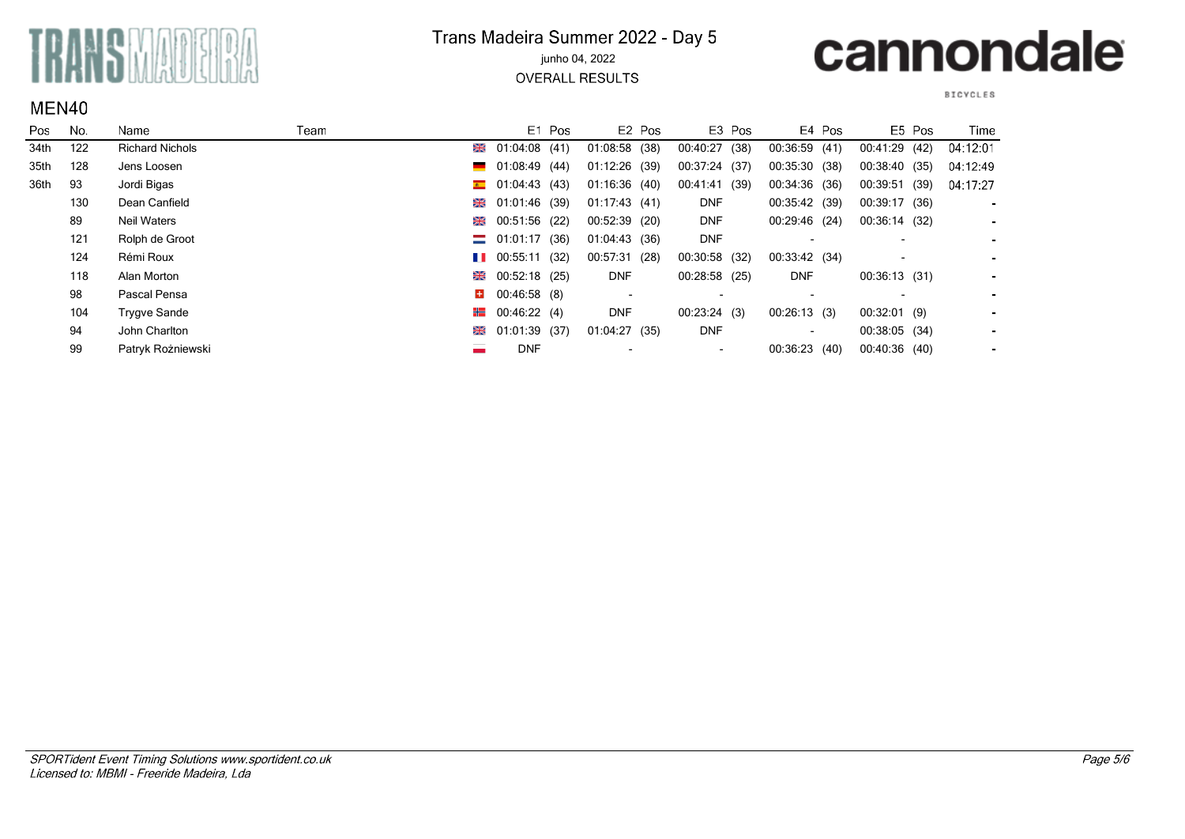

#### Trans Madeira Summer 2022 - Day 5 junho 04, 2022

**OVERALL RESULTS** 

## cannondale

**BICYCLES** 

| Pos. | No. | Name                   | Team          |                                | E1 Pos |                          | E <sub>2</sub> Pos |                          | E3 Pos |                          | E4 Pos |                          | E5 Pos | Time           |
|------|-----|------------------------|---------------|--------------------------------|--------|--------------------------|--------------------|--------------------------|--------|--------------------------|--------|--------------------------|--------|----------------|
| 34th | 122 | <b>Richard Nichols</b> | ₩             | 01:04:08 (41)                  |        | $01:08:58$ (38)          |                    | 00:40:27                 | (38)   | 00:36:59(41)             |        | 00:41:29 (42)            |        | 04:12:01       |
| 35th | 128 | Jens Loosen            |               | $\blacksquare$ 01:08:49 (44)   |        | 01:12:26 (39)            |                    | 00:37:24 (37)            |        | 00:35:30 (38)            |        | 00:38:40 (35)            |        | 04:12:49       |
| 36th | 93  | Jordi Bigas            |               | $\bullet$ 01:04:43 (43)        |        | 01:16:36(40)             |                    | 00:41:41 (39)            |        | 00:34:36 (36)            |        | 00:39:51 (39)            |        | 04:17:27       |
|      | 130 | Dean Canfield          |               | ■ 01:01:46 (39)                |        | 01:17:43(41)             |                    | <b>DNF</b>               |        | 00:35:42 (39)            |        | 00:39:17 (36)            |        | $\blacksquare$ |
|      | 89  | <b>Neil Waters</b>     | ⋇             | 00:51:56 (22)                  |        | 00:52:39 (20)            |                    | <b>DNF</b>               |        | 00:29:46 (24)            |        | 00:36:14 (32)            |        | $\blacksquare$ |
|      | 121 | Rolph de Groot         |               | $\equiv$ 01:01:17 (36)         |        | 01:04:43 (36)            |                    | <b>DNF</b>               |        | $\overline{\phantom{a}}$ |        | $\overline{\phantom{a}}$ |        | $\blacksquare$ |
|      | 124 | Rémi Roux              |               | $\blacksquare$ 00:55:11 (32)   |        | 00:57:31 (28)            |                    | 00:30:58 (32)            |        | 00:33:42 (34)            |        |                          |        | $\blacksquare$ |
|      | 118 | Alan Morton            |               | $\frac{125}{25}$ 00:52:18 (25) |        | <b>DNF</b>               |                    | $00:28:58$ (25)          |        | <b>DNF</b>               |        | 00:36:13(31)             |        | $\blacksquare$ |
|      | 98  | Pascal Pensa           | H.            | 00:46:58 (8)                   |        | $\overline{\phantom{a}}$ |                    | $\overline{\phantom{0}}$ |        | $\overline{\phantom{0}}$ |        |                          |        | $\blacksquare$ |
|      | 104 | Trygve Sande           | <del>HE</del> | 00:46:22(4)                    |        | <b>DNF</b>               |                    | 00:23:24(3)              |        | 00:26:13(3)              |        | $00:32:01$ (9)           |        | $\blacksquare$ |
|      | 94  | John Charlton          |               | $\frac{120}{1200}$ (37)        |        | 01:04:27(35)             |                    | <b>DNF</b>               |        | $\overline{\phantom{a}}$ |        | 00:38:05 (34)            |        | $\blacksquare$ |
|      | 99  | Patryk Rożniewski      |               | <b>DNF</b>                     |        |                          |                    | $\overline{\phantom{a}}$ |        | 00:36:23 (40)            |        | 00:40:36 (40)            |        | $\blacksquare$ |

### MEN40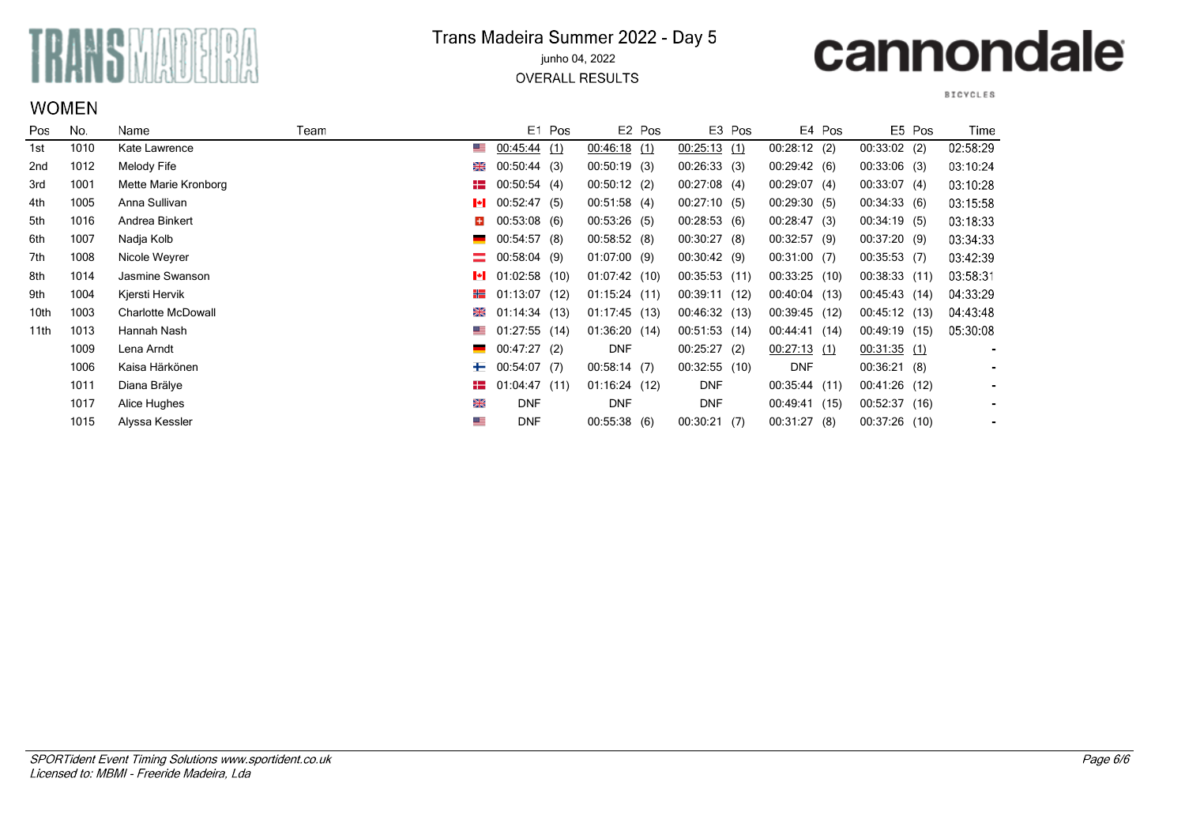

#### Trans Madeira Summer 2022 - Day 5 junho 04, 2022

**OVERALL RESULTS** 

### cannondale

#### **BICYCLES**

 $\overline{\phantom{a}}$ 

| Pos             | No.  | Name                      | Team     |              | E1 Pos          |                 | E <sub>2</sub> Pos |                 | E3 Pos |                 | E4 Pos |                | E5 Pos | Time     |
|-----------------|------|---------------------------|----------|--------------|-----------------|-----------------|--------------------|-----------------|--------|-----------------|--------|----------------|--------|----------|
| 1st             | 1010 | Kate Lawrence             | ▀▀       |              | 00:45:44(1)     | 00.46:18(1)     |                    | $00:25:13$ (1)  |        | $00:28:12$ (2)  |        | $00:33:02$ (2) |        | 02:58:29 |
| 2 <sub>nd</sub> | 1012 | Melody Fife               | 米        |              | 00:50:44(3)     | 00:50:19(3)     |                    | 00:26:33(3)     |        | 00:29:42(6)     |        | 00:33:06(3)    |        | 03:10:24 |
| 3rd             | 1001 | Mette Marie Kronborg      | H        |              | 00:50:54(4)     | 00:50:12(2)     |                    | $00:27:08$ (4)  |        | 00:29:07(4)     |        | 00:33:07(4)    |        | 03:10:28 |
| 4th             | 1005 | Anna Sullivan             | H        |              | 00:52:47(5)     | 00:51:58(4)     |                    | 00:27:10(5)     |        | 00:29:30(5)     |        | 00:34:33(6)    |        | 03.15.58 |
| 5th             | 1016 | Andrea Binkert            | ÷.       |              | $00:53:08$ (6)  | 00:53:26(5)     |                    | 00:28:53(6)     |        | 00:28:47(3)     |        | 00:34:19(5)    |        | 03:18:33 |
| 6th             | 1007 | Nadja Kolb                | $\equiv$ |              | 00:54:57(8)     | 00:58:52(8)     |                    | 00:30:27(8)     |        | 00:32:57(9)     |        | 00:37:20(9)    |        | 03:34:33 |
| 7th             | 1008 | Nicole Weyrer             | =        | 00:58:04 (9) |                 | 01:07:00(9)     |                    | 00:30:42(9)     |        | $00:31:00$ (7)  |        | 00:35:53(7)    |        | 03:42:39 |
| 8th             | 1014 | Jasmine Swanson           | ŀI       |              | $01:02:58$ (10) | 01:07:42(10)    |                    | 00:35:53(11)    |        | $00:33:25$ (10) |        | 00:38:33(11)   |        | 03:58:31 |
| 9th             | 1004 | Kjersti Hervik            | ₩        |              | 01:13:07(12)    | $01:15:24$ (11) |                    | 00:39:11 (12)   |        | 00:40:04 (13)   |        | 00:45:43 (14)  |        | 04:33:29 |
| 10th            | 1003 | <b>Charlotte McDowall</b> | ⋇        |              | 01:14:34(13)    | $01:17:45$ (13) |                    | 00:46:32 (13)   |        | $00:39:45$ (12) |        | 00:45:12(13)   |        | 04:43:48 |
| 11th            | 1013 | Hannah Nash               | ≝        |              | $01:27:55$ (14) | 01:36:20(14)    |                    | 00:51:53(14)    |        | 00:44:41        | (14)   | 00:49:19 (15)  |        | 05:30:08 |
|                 | 1009 | Lena Arndt                | $\equiv$ |              | 00:47:27(2)     | <b>DNF</b>      |                    | 00:25:27        | (2)    | 00:27:13(1)     |        | 00:31:35(1)    |        |          |
|                 | 1006 | Kaisa Härkönen            | ┶        | 00:54:07 (7) |                 | 00:58:14(7)     |                    | $00:32:55$ (10) |        | <b>DNF</b>      |        | 00:36:21(8)    |        |          |
|                 | 1011 | Diana Brälye              | HE       |              | 01:04:47(11)    | 01:16:24(12)    |                    | <b>DNF</b>      |        | 00:35:44(11)    |        | 00:41:26(12)   |        |          |
|                 | 1017 | Alice Hughes              | 噐        |              | <b>DNF</b>      | <b>DNF</b>      |                    | <b>DNF</b>      |        | 00:49:41        | (15)   | 00:52:37(16)   |        |          |
|                 | 1015 | Alyssa Kessler            | ≣        |              | <b>DNF</b>      | 00:55:38(6)     |                    | 00:30:21(7)     |        | 00:31:27(8)     |        | 00:37:26(10)   |        |          |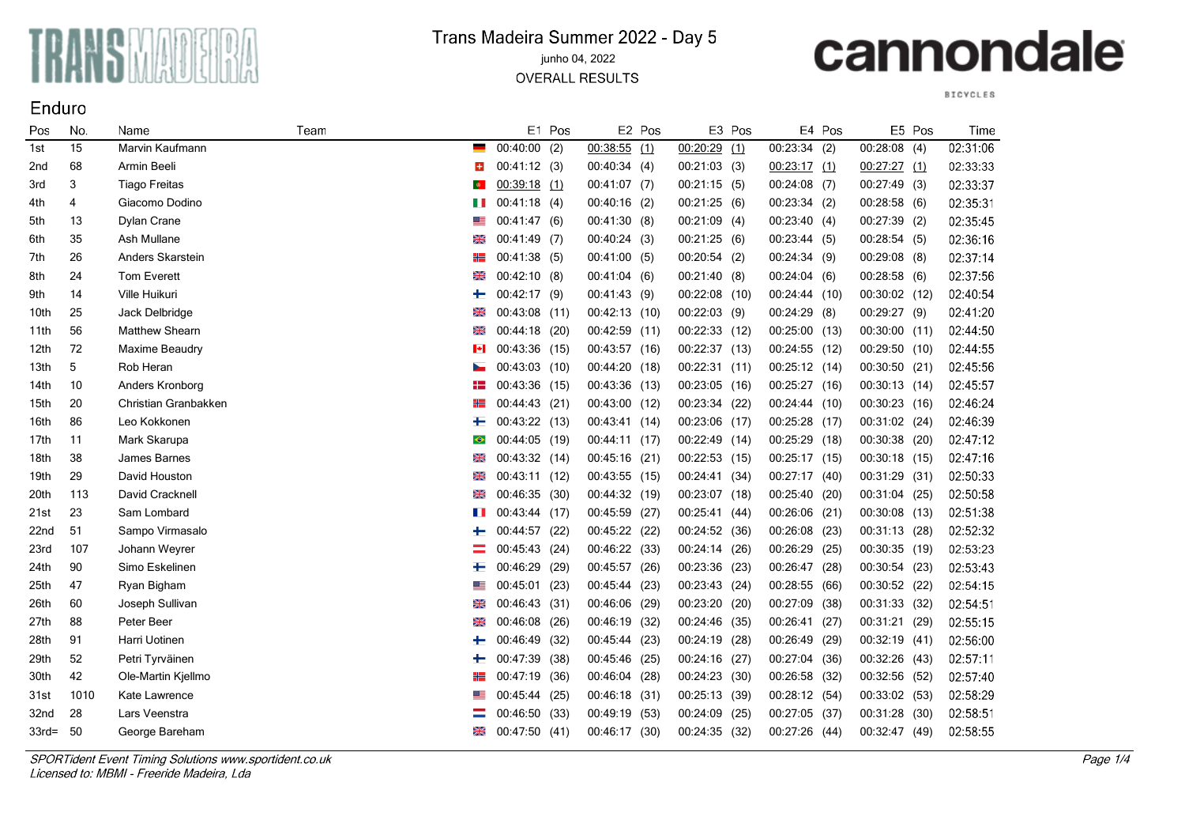

### Trans Madeira Summer 2022 - Day 5

#### junho 04, 2022

**OVERALL RESULTS** 

# cannondale

**BICYCLES** 

| Pos              | No.  | Name                 | Team |           |                | E1 Pos |                | E2 Pos |                | E3 Pos |                | E4 Pos |               | E5 Pos | Time     |
|------------------|------|----------------------|------|-----------|----------------|--------|----------------|--------|----------------|--------|----------------|--------|---------------|--------|----------|
| 1st              | 15   | Marvin Kaufmann      |      |           | $00:40:00$ (2) |        | $00:38:55$ (1) |        | $00:20:29$ (1) |        | $00:23:34$ (2) |        | 00:28:08(4)   |        | 02:31:06 |
| 2nd              | 68   | Armin Beeli          |      | $+$       | 00:41:12(3)    |        | 00:40:34(4)    |        | 00:21:03(3)    |        | 00:23:17(1)    |        | 00:27:27(1)   |        | 02:33:33 |
| 3rd              | 3    | <b>Tiago Freitas</b> |      | $\bullet$ | $00:39:18$ (1) |        | $00:41:07$ (7) |        | 00:21:15(5)    |        | $00:24:08$ (7) |        | 00:27:49(3)   |        | 02:33:37 |
| 4th              | 4    | Giacomo Dodino       |      |           | 00:41:18(4)    |        | 00:40:16 (2)   |        | 00:21:25(6)    |        | 00:23:34(2)    |        | 00:28:58(6)   |        | 02:35:31 |
| 5th              | 13   | Dylan Crane          |      |           | 00:41:47(6)    |        | 00:41:30 (8)   |        | $00:21:09$ (4) |        | 00:23:40(4)    |        | 00:27:39 (2)  |        | 02:35:45 |
| 6th              | 35   | Ash Mullane          |      | ⋇         | $00:41:49$ (7) |        | 00:40:24(3)    |        | 00:21:25(6)    |        | 00:23:44(5)    |        | 00:28:54(5)   |        | 02:36:16 |
| 7th              | 26   | Anders Skarstein     |      |           | 00:41:38 (5)   |        | 00:41:00 (5)   |        | 00:20:54(2)    |        | 00:24:34 (9)   |        | 00:29:08(8)   |        | 02:37:14 |
| 8th              | 24   | Tom Everett          |      | ⋇         | 00:42:10(8)    |        | 00:41:04(6)    |        | 00:21:40(8)    |        | 00:24:04(6)    |        | 00:28:58(6)   |        | 02:37:56 |
| 9th              | 14   | Ville Huikuri        |      | ╄         | 00:42:17 (9)   |        | 00:41:43(9)    |        | 00:22:08 (10)  |        | 00:24:44 (10)  |        | 00:30:02 (12) |        | 02:40:54 |
| 10th             | 25   | Jack Delbridge       |      | ⋇         | 00:43:08 (11)  |        | 00:42:13 (10)  |        | 00:22:03 (9)   |        | $00:24:29$ (8) |        | 00:29:27 (9)  |        | 02:41:20 |
| 11th             | 56   | Matthew Shearn       |      | ⋇         | 00:44:18 (20)  |        | 00:42:59 (11)  |        | 00:22:33 (12)  |        | 00:25:00 (13)  |        | 00:30:00 (11) |        | 02:44:50 |
| 12 <sub>th</sub> | 72   | Maxime Beaudry       |      |           | 00:43:36 (15)  |        | 00:43:57 (16)  |        | 00:22:37 (13)  |        | 00:24:55 (12)  |        | 00:29:50 (10) |        | 02:44:55 |
| 13th             | 5    | Rob Heran            |      |           | 00:43:03 (10)  |        | 00:44:20 (18)  |        | 00:22:31 (11)  |        | 00:25:12 (14)  |        | 00:30:50      | (21)   | 02:45:56 |
| 14th             | 10   | Anders Kronborg      |      |           | 00:43:36 (15)  |        | 00:43:36 (13)  |        | 00:23:05       | (16)   | 00:25:27 (16)  |        | 00:30:13 (14) |        | 02:45:57 |
| 15th             | 20   | Christian Granbakken |      | ╬═╣       | 00:44:43 (21)  |        | 00:43:00 (12)  |        | 00:23:34 (22)  |        | 00:24:44 (10)  |        | 00:30:23 (16) |        | 02:46:24 |
| 16th             | 86   | Leo Kokkonen         |      |           | 00:43:22 (13)  |        | 00:43:41 (14)  |        | 00:23:06 (17)  |        | 00:25:28 (17)  |        | 00:31:02 (24) |        | 02:46:39 |
| 17th             | 11   | Mark Skarupa         |      | $\bullet$ | 00:44:05 (19)  |        | 00:44:11(17)   |        | 00:22:49 (14)  |        | 00:25:29 (18)  |        | 00:30:38 (20) |        | 02:47:12 |
| 18th             | 38   | James Barnes         |      | ⋇         | 00:43:32 (14)  |        | 00:45:16 (21)  |        | 00:22:53 (15)  |        | 00:25:17 (15)  |        | 00:30:18 (15) |        | 02:47:16 |
| 19th             | 29   | David Houston        |      | ⋇         | 00:43:11 (12)  |        | 00:43:55 (15)  |        | 00:24:41       | (34)   | 00:27:17 (40)  |        | 00:31:29 (31) |        | 02:50:33 |
| 20th             | 113  | David Cracknell      |      | ⋇         | 00:46:35 (30)  |        | 00:44:32 (19)  |        | 00:23:07 (18)  |        | 00:25:40 (20)  |        | 00:31:04 (25) |        | 02:50:58 |
| 21st             | 23   | Sam Lombard          |      |           | 00:43:44(17)   |        | 00:45:59 (27)  |        | 00:25:41 (44)  |        | 00:26:06 (21)  |        | 00:30:08 (13) |        | 02:51:38 |
| 22nd             | 51   | Sampo Virmasalo      |      | ⊢         | 00:44:57 (22)  |        | 00:45:22 (22)  |        | 00:24:52 (36)  |        | 00:26:08 (23)  |        | 00:31:13 (28) |        | 02:52:32 |
| 23rd             | 107  | Johann Weyrer        |      |           | 00:45:43 (24)  |        | 00:46:22 (33)  |        | 00:24:14 (26)  |        | 00:26:29       | (25)   | 00:30:35 (19) |        | 02:53:23 |
| 24th             | 90   | Simo Eskelinen       |      |           | 00:46:29 (29)  |        | 00:45:57 (26)  |        | 00:23:36 (23)  |        | 00:26:47 (28)  |        | 00:30:54 (23) |        | 02:53:43 |
| 25th             | 47   | Ryan Bigham          |      | ▀         | 00:45:01 (23)  |        | 00:45:44 (23)  |        | 00:23:43 (24)  |        | 00:28:55 (66)  |        | 00:30:52 (22) |        | 02:54:15 |
| 26th             | 60   | Joseph Sullivan      |      | ⋇         | 00:46:43 (31)  |        | 00:46:06 (29)  |        | 00:23:20 (20)  |        | 00:27:09 (38)  |        | 00:31:33 (32) |        | 02:54:51 |
| 27th             | 88   | Peter Beer           |      | ⋇         | 00:46:08 (26)  |        | 00:46:19 (32)  |        | 00:24:46       | (35)   | 00:26:41       | (27)   | 00:31:21      | (29)   | 02:55:15 |
| 28th             | 91   | Harri Uotinen        |      |           | 00:46:49       | (32)   | 00:45:44 (23)  |        | 00:24:19 (28)  |        | 00:26:49 (29)  |        | 00:32:19 (41) |        | 02:56:00 |
| 29th             | 52   | Petri Tyrväinen      |      |           | 00:47:39       | (38)   | 00:45:46 (25)  |        | 00:24:16 (27)  |        | 00:27:04 (36)  |        | 00:32:26      | (43)   | 02:57:11 |
| 30th             | 42   | Ole-Martin Kjellmo   |      |           | 00:47:19       | (36)   | 00:46:04 (28)  |        | 00:24:23 (30)  |        | 00:26:58 (32)  |        | 00:32:56 (52) |        | 02:57:40 |
| 31st             | 1010 | Kate Lawrence        |      |           | 00:45:44 (25)  |        | 00:46:18 (31)  |        | 00:25:13 (39)  |        | 00:28:12 (54)  |        | 00:33:02 (53) |        | 02:58:29 |
| 32nd             | 28   | Lars Veenstra        |      |           | 00:46:50       | (33)   | 00:49:19 (53)  |        | 00:24:09       | (25)   | 00:27:05       | (37)   | 00:31:28      | (30)   | 02:58:51 |
| $33rd=$          | 50   | George Bareham       |      | ⋇         | 00:47:50       | (41)   | 00:46:17 (30)  |        | 00:24:35       | (32)   | 00:27:26       | (44)   | 00:32:47      | (49)   | 02:58:55 |

SPORTident Event Timing Solutions www.sportident.co.uk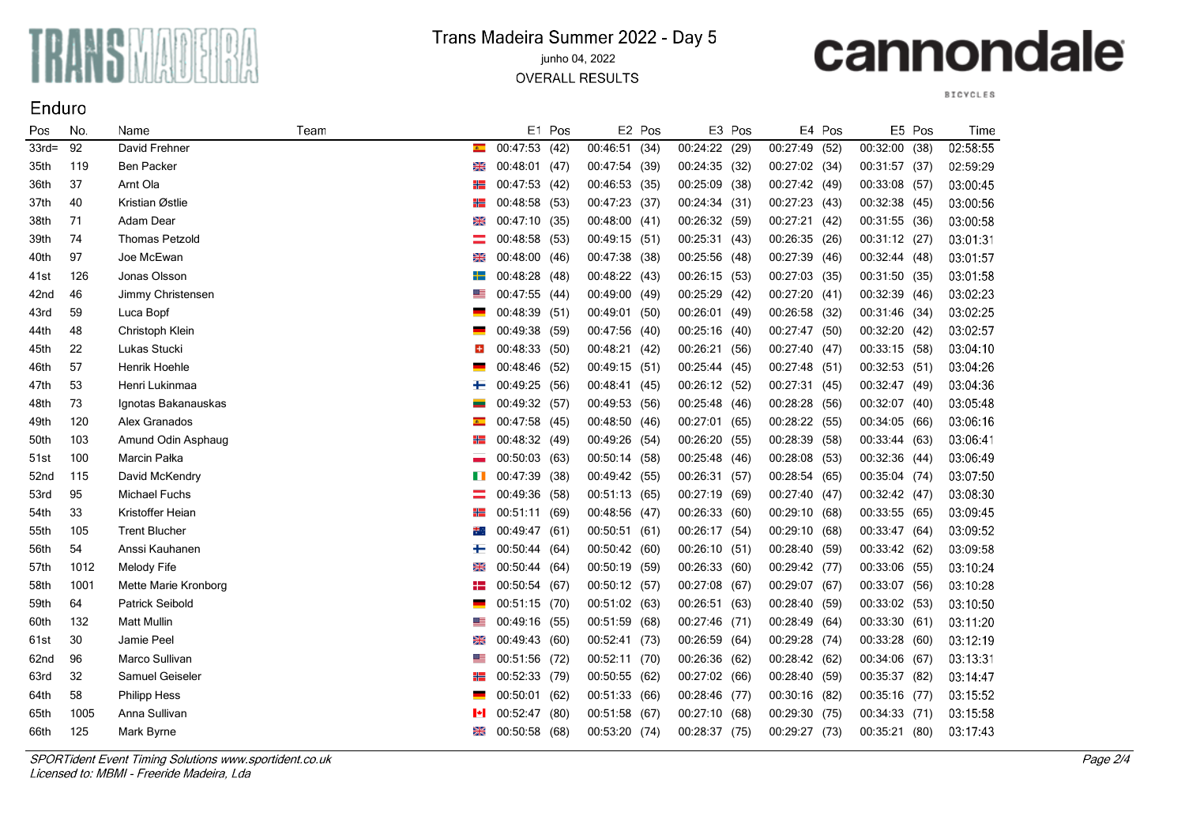

### Trans Madeira Summer 2022 - Day 5

#### junho 04, 2022

**OVERALL RESULTS** 

# cannondale

**BICYCLES** 

| Pos              | No.  | Name                   | Team |                |               | E1 Pos |               | E2 Pos |               | E3 Pos |               | E4 Pos |               | E5 Pos | Time     |
|------------------|------|------------------------|------|----------------|---------------|--------|---------------|--------|---------------|--------|---------------|--------|---------------|--------|----------|
| $33rd=$          | 92   | David Frehner          |      | $\overline{a}$ | 00:47:53      | (42)   | 00:46:51 (34) |        | 00:24:22 (29) |        | 00:27:49 (52) |        | 00:32:00 (38) |        | 02:58:55 |
| 35th             | 119  | <b>Ben Packer</b>      |      | ⋇              | 00:48:01 (47) |        | 00:47:54 (39) |        | 00:24:35 (32) |        | 00:27:02 (34) |        | 00:31:57 (37) |        | 02:59:29 |
| 36th             | 37   | Arnt Ola               |      | ₩              | 00:47:53 (42) |        | 00:46:53 (35) |        | 00:25:09 (38) |        | 00:27:42 (49) |        | 00:33:08 (57) |        | 03:00:45 |
| 37th             | 40   | Kristian Østlie        |      | ₩              | 00:48:58      | (53)   | 00:47:23 (37) |        | 00:24:34      | (31)   | 00:27:23 (43) |        | 00:32:38 (45) |        | 03:00:56 |
| 38th             | 71   | Adam Dear              |      | 6              | 00:47:10 (35) |        | 00:48:00 (41) |        | 00:26:32 (59) |        | 00:27:21 (42) |        | 00:31:55 (36) |        | 03:00:58 |
| 39th             | 74   | <b>Thomas Petzold</b>  |      |                | 00:48:58 (53) |        | 00:49:15 (51) |        | 00:25:31 (43) |        | 00:26:35 (26) |        | 00:31:12 (27) |        | 03:01:31 |
| 40th             | 97   | Joe McEwan             |      |                | 00:48:00 (46) |        | 00:47:38 (38) |        | 00:25:56 (48) |        | 00:27:39 (46) |        | 00:32:44 (48) |        | 03:01:57 |
| 41st             | 126  | Jonas Olsson           |      | ┿═             | 00:48:28 (48) |        | 00:48:22 (43) |        | 00:26:15 (53) |        | 00:27:03 (35) |        | 00:31:50 (35) |        | 03:01:58 |
| 42nd             | 46   | Jimmy Christensen      |      | ▓              | 00:47:55 (44) |        | 00:49:00 (49) |        | 00:25:29      | (42)   | 00:27:20 (41) |        | 00:32:39      | (46)   | 03:02:23 |
| 43rd             | 59   | Luca Bopf              |      |                | 00:48:39 (51) |        | 00:49:01 (50) |        | 00:26:01 (49) |        | 00:26:58 (32) |        | 00:31:46 (34) |        | 03:02:25 |
| 44th             | 48   | Christoph Klein        |      |                | 00:49:38 (59) |        | 00:47:56 (40) |        | 00:25:16 (40) |        | 00:27:47 (50) |        | 00:32:20 (42) |        | 03:02:57 |
| 45th             | 22   | Lukas Stucki           |      |                | 00:48:33 (50) |        | 00:48:21 (42) |        | 00:26:21 (56) |        | 00:27:40 (47) |        | 00:33:15 (58) |        | 03:04:10 |
| 46th             | 57   | Henrik Hoehle          |      |                | 00:48:46      | (52)   | 00:49:15 (51) |        | 00:25:44 (45) |        | 00:27:48 (51) |        | 00:32:53      | (51)   | 03:04:26 |
| 47th             | 53   | Henri Lukinmaa         |      | ┿              | 00:49:25      | (56)   | 00:48:41 (45) |        | 00:26:12 (52) |        | 00:27:31 (45) |        | 00:32:47      | (49)   | 03:04:36 |
| 48th             | 73   | Ignotas Bakanauskas    |      |                | 00:49:32 (57) |        | 00:49:53 (56) |        | 00:25:48 (46) |        | 00:28:28 (56) |        | 00:32:07      | (40)   | 03:05:48 |
| 49th             | 120  | Alex Granados          |      | $\bullet$      | 00:47:58 (45) |        | 00:48:50 (46) |        | 00:27:01 (65) |        | 00:28:22 (55) |        | 00:34:05 (66) |        | 03:06:16 |
| 50th             | 103  | Amund Odin Asphaug     |      | ╬═             | 00:48:32 (49) |        | 00:49:26 (54) |        | 00:26:20      | (55)   | 00:28:39 (58) |        | 00:33:44      | (63)   | 03:06:41 |
| 51st             | 100  | Marcin Pałka           |      |                | 00:50:03      | (63)   | 00:50:14 (58) |        | 00:25:48      | (46)   | 00:28:08 (53) |        | 00:32:36      | (44)   | 03:06:49 |
| 52 <sub>nd</sub> | 115  | David McKendry         |      |                | 00:47:39 (38) |        | 00:49:42 (55) |        | 00:26:31 (57) |        | 00:28:54 (65) |        | 00:35:04 (74) |        | 03:07:50 |
| 53rd             | 95   | Michael Fuchs          |      |                | 00:49:36 (58) |        | 00:51:13 (65) |        | 00:27:19      | (69)   | 00:27:40 (47) |        | 00:32:42 (47) |        | 03:08:30 |
| 54th             | 33   | Kristoffer Heian       |      |                | 00:51:11 (69) |        | 00:48:56 (47) |        | 00:26:33      | (60)   | 00:29:10 (68) |        | 00:33:55      | (65)   | 03:09:45 |
| 55th             | 105  | <b>Trent Blucher</b>   |      | ₩.             | 00:49:47      | (61)   | 00:50:51(61)  |        | 00:26:17      | (54)   | 00:29:10 (68) |        | 00:33:47      | (64)   | 03:09:52 |
| 56th             | 54   | Anssi Kauhanen         |      | ┿              | 00:50:44      | (64)   | 00:50:42 (60) |        | 00:26:10      | (51)   | 00:28:40 (59) |        | 00:33:42 (62) |        | 03:09:58 |
| 57th             | 1012 | Melody Fife            |      | ⋇              | 00:50:44      | (64)   | 00:50:19 (59) |        | 00:26:33      | (60)   | 00:29:42 (77) |        | 00:33:06 (55) |        | 03:10:24 |
| 58th             | 1001 | Mette Marie Kronborg   |      | ₩              | 00:50:54 (67) |        | 00:50:12 (57) |        | 00:27:08 (67) |        | 00:29:07 (67) |        | 00:33:07 (56) |        | 03:10:28 |
| 59th             | 64   | <b>Patrick Seibold</b> |      |                | 00:51:15 (70) |        | 00:51:02 (63) |        | 00:26:51 (63) |        | 00:28:40 (59) |        | 00:33:02 (53) |        | 03:10:50 |
| 60th             | 132  | <b>Matt Mullin</b>     |      | ▀              | 00:49:16 (55) |        | 00:51:59 (68) |        | 00:27:46      | (71)   | 00:28:49 (64) |        | 00:33:30 (61) |        | 03:11:20 |
| 61st             | 30   | Jamie Peel             |      | ⋇              | 00:49:43 (60) |        | 00:52:41 (73) |        | 00:26:59 (64) |        | 00:29:28 (74) |        | 00:33:28 (60) |        | 03:12:19 |
| 62nd             | 96   | Marco Sullivan         |      |                | 00:51:56 (72) |        | 00:52:11 (70) |        | 00:26:36 (62) |        | 00:28:42 (62) |        | 00:34:06 (67) |        | 03:13:31 |
| 63rd             | 32   | Samuel Geiseler        |      |                | 00:52:33 (79) |        | 00:50:55 (62) |        | 00:27:02      | (66)   | 00:28:40 (59) |        | 00:35:37      | (82)   | 03:14:47 |
| 64th             | 58   | <b>Philipp Hess</b>    |      |                | 00:50:01      | (62)   | 00:51:33 (66) |        | 00:28:46      | (77)   | 00:30:16      | (82)   | 00:35:16      | (77)   | 03:15:52 |
| 65th             | 1005 | Anna Sullivan          |      | м              | 00:52:47      | (80)   | 00:51:58 (67) |        | 00:27:10      | (68)   | 00:29:30 (75) |        | 00:34:33 (71) |        | 03:15:58 |
| 66th             | 125  | Mark Byrne             |      | ⋇              | 00:50:58      | (68)   | 00:53:20 (74) |        | 00:28:37      | (75)   | 00:29:27      | (73)   | 00:35:21      | (80)   | 03:17:43 |

SPORTident Event Timing Solutions www.sportident.co.uk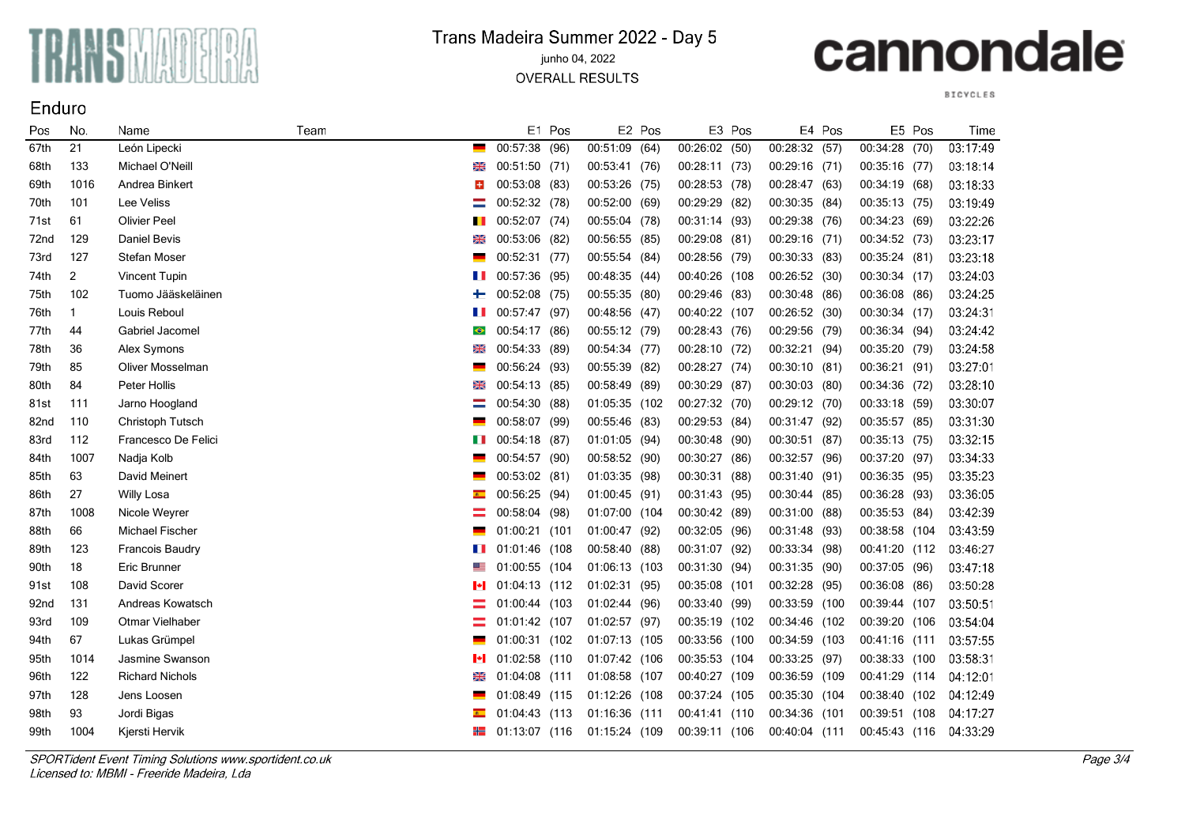

### Trans Madeira Summer 2022 - Day 5

junho 04, 2022

**OVERALL RESULTS** 

# cannondale

**BICYCLES** 

| Pos              | No.            | Name                    | Team      |               | E1 Pos |               | E2 Pos |               | E3 Pos |                 | E4 Pos |                | E5 Pos | Time     |
|------------------|----------------|-------------------------|-----------|---------------|--------|---------------|--------|---------------|--------|-----------------|--------|----------------|--------|----------|
| 67th             | 21             | León Lipecki            |           | 00:57:38      | (96)   | 00:51:09 (64) |        | 00:26:02 (50) |        | 00:28:32 (57)   |        | 00:34:28       | (70)   | 03:17:49 |
| 68th             | 133            | Michael O'Neill         | ⋇         | 00:51:50 (71) |        | 00:53:41 (76) |        | 00:28:11 (73) |        | $00:29:16$ (71) |        | 00:35:16 (77)  |        | 03:18:14 |
| 69th             | 1016           | Andrea Binkert          | l+        | 00:53:08 (83) |        | 00:53:26 (75) |        | 00:28:53 (78) |        | 00:28:47 (63)   |        | 00:34:19 (68)  |        | 03:18:33 |
| 70th             | 101            | Lee Veliss              |           | 00:52:32 (78) |        | 00:52:00 (69) |        | 00:29:29      | (82)   | 00:30:35 (84)   |        | 00:35:13 (75)  |        | 03:19:49 |
| 71st             | 61             | <b>Olivier Peel</b>     |           | 00:52:07 (74) |        | 00:55:04 (78) |        | 00:31:14 (93) |        | 00:29:38 (76)   |        | 00:34:23 (69)  |        | 03:22:26 |
| 72nd             | 129            | Daniel Bevis            | ⋇         | 00:53:06 (82) |        | 00:56:55 (85) |        | 00:29:08 (81) |        | 00:29:16 (71)   |        | 00:34:52 (73)  |        | 03:23:17 |
| 73rd             | 127            | Stefan Moser            |           | 00:52:31 (77) |        | 00:55:54 (84) |        | 00:28:56 (79) |        | 00:30:33 (83)   |        | 00:35:24 (81)  |        | 03:23:18 |
| 74th             | $\overline{2}$ | Vincent Tupin           | H         | 00:57:36      | (95)   | 00:48:35 (44) |        | 00:40:26      | (108   | 00:26:52 (30)   |        | 00:30:34 (17)  |        | 03:24:03 |
| 75th             | 102            | Tuomo Jääskeläinen      | ⊢         | 00:52:08 (75) |        | 00:55:35 (80) |        | 00:29:46 (83) |        | 00:30:48 (86)   |        | 00:36:08 (86)  |        | 03:24:25 |
| 76th             | $\mathbf{1}$   | Louis Reboul            |           | 00:57:47 (97) |        | 00:48:56 (47) |        | 00:40:22 (107 |        | 00:26:52(30)    |        | 00:30:34 (17)  |        | 03:24:31 |
| 77th             | 44             | Gabriel Jacomel         | $\bullet$ | 00:54:17 (86) |        | 00:55:12 (79) |        | 00:28:43 (76) |        | 00:29:56 (79)   |        | 00:36:34 (94)  |        | 03:24:42 |
| 78th             | 36             | Alex Symons             |           | 00:54:33      | (89)   | 00:54:34 (77) |        | 00:28:10 (72) |        | 00:32:21 (94)   |        | 00:35:20 (79)  |        | 03:24:58 |
| 79th             | 85             | <b>Oliver Mosselman</b> |           | 00:56:24 (93) |        | 00:55:39      | (82)   | 00:28:27 (74) |        | 00:30:10 (81)   |        | 00:36:21       | (91)   | 03:27:01 |
| 80th             | 84             | Peter Hollis            | ⋇         | 00:54:13      | (85)   | 00:58:49      | (89)   | 00:30:29      | (87)   | 00:30:03 (80)   |        | 00:34:36 (72)  |        | 03:28:10 |
| 81st             | 111            | Jarno Hoogland          |           | 00:54:30      | (88)   | 01:05:35 (102 |        | 00:27:32 (70) |        | 00:29:12 (70)   |        | 00:33:18 (59)  |        | 03:30:07 |
| 82nd             | 110            | Christoph Tutsch        |           | 00:58:07 (99) |        | 00:55:46 (83) |        | 00:29:53 (84) |        | 00:31:47 (92)   |        | 00:35:57 (85)  |        | 03:31:30 |
| 83rd             | 112            | Francesco De Felici     | H         | 00:54:18 (87) |        | 01:01:05 (94) |        | 00:30:48      | (90)   | 00:30:51 (87)   |        | 00:35:13 (75)  |        | 03:32:15 |
| 84th             | 1007           | Nadja Kolb              |           | 00:54:57 (90) |        | 00:58:52 (90) |        | 00:30:27      | (86)   | 00:32:57 (96)   |        | 00:37:20 (97)  |        | 03:34:33 |
| 85th             | 63             | David Meinert           |           | 00:53:02 (81) |        | 01:03:35 (98) |        | 00:30:31      | (88)   | 00:31:40 (91)   |        | 00:36:35 (95)  |        | 03:35:23 |
| 86th             | 27             | Willy Losa              |           | 00:56:25      | (94)   | 01:00:45 (91) |        | 00:31:43      | (95)   | 00:30:44 (85)   |        | 00:36:28 (93)  |        | 03:36:05 |
| 87th             | 1008           | Nicole Weyrer           |           | 00:58:04 (98) |        | 01:07:00 (104 |        | 00:30:42 (89) |        | 00:31:00 (88)   |        | 00:35:53 (84)  |        | 03:42:39 |
| 88th             | 66             | <b>Michael Fischer</b>  |           | 01:00:21 (101 |        | 01:00:47 (92) |        | 00:32:05 (96) |        | 00:31:48 (93)   |        | 00:38:58 (104  |        | 03:43:59 |
| 89th             | 123            | <b>Francois Baudry</b>  | . .       | 01:01:46      | (108   | 00:58:40 (88) |        | 00:31:07      | (92)   | 00:33:34 (98)   |        | 00:41:20 (112  |        | 03:46:27 |
| 90th             | 18             | Eric Brunner            |           | 01:00:55 (104 |        | 01:06:13 (103 |        | 00:31:30 (94) |        | 00:31:35 (90)   |        | 00:37:05 (96)  |        | 03:47:18 |
| 91st             | 108            | David Scorer            | H         | 01:04:13 (112 |        | 01:02:31 (95) |        | 00:35:08 (101 |        | 00:32:28 (95)   |        | 00:36:08 (86)  |        | 03:50:28 |
| 92 <sub>nd</sub> | 131            | Andreas Kowatsch        |           | 01:00:44 (103 |        | 01:02:44 (96) |        | 00:33:40 (99) |        | 00:33:59 (100   |        | 00:39:44 (107  |        | 03:50:51 |
| 93rd             | 109            | Otmar Vielhaber         |           | 01:01:42 (107 |        | 01:02:57 (97) |        | 00:35:19 (102 |        | 00:34:46 (102   |        | 00:39:20 (106  |        | 03:54:04 |
| 94th             | 67             | Lukas Grümpel           |           | 01:00:31 (102 |        | 01:07:13 (105 |        | 00:33:56 (100 |        | 00:34:59 (103   |        | 00:41:16 (111  |        | 03.57.55 |
| 95th             | 1014           | Jasmine Swanson         |           | 01:02:58 (110 |        | 01:07:42 (106 |        | 00:35:53 (104 |        | 00:33:25 (97)   |        | 00:38:33 (100  |        | 03:58:31 |
| 96th             | 122            | <b>Richard Nichols</b>  |           | 01:04:08 (111 |        | 01:08:58 (107 |        | 00:40:27 (109 |        | 00:36:59 (109   |        | 00:41:29 (114  |        | 04:12:01 |
| 97th             | 128            | Jens Loosen             |           | 01:08:49 (115 |        | 01:12:26 (108 |        | 00:37:24 (105 |        | 00:35:30 (104   |        | 00:38:40 (102  |        | 04:12:49 |
| 98th             | 93             | Jordi Bigas             |           | 01:04:43 (113 |        | 01:16:36 (111 |        | 00:41:41 (110 |        | 00:34:36 (101   |        | 00:39:51       | (108   | 04:17:27 |
| 99th             | 1004           | Kjersti Hervik          | ╬═╣       | 01:13:07 (116 |        | 01:15:24 (109 |        | 00:39:11 (106 |        | 00:40:04 (111   |        | 00:45:43 (116) |        | 04:33:29 |

SPORTident Event Timing Solutions www.sportident.co.uk